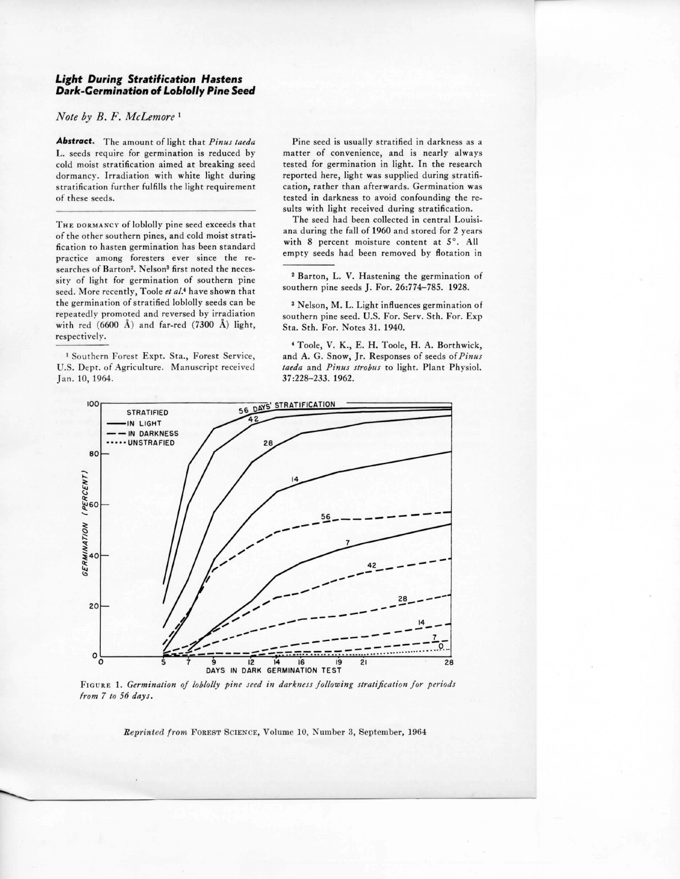## *Light During Stratification Hastens Dark-Germination* **of** *Loblolly Pine Seed*

## *Note by B. F. McLemore* <sup>1</sup>

*Abstract.* The amount of light that *Pinus taeda*  L. seeds require for germination is reduced by cold moist stratification aimed at breaking seed dormancy. Irradiation with white light during stratification further fulfills the light requirement of these seeds.

THE DORMANCY of loblolly pine seed exceeds that of the other southern pines, and cold moist stratification to hasten germination has been standard practice among foresters ever since the researches of Barton<sup>2</sup>. Nelson<sup>3</sup> first noted the necessity of light for germination of southern pine seed. More recently, Toole et al.<sup>4</sup> have shown that the germination of stratified loblolly seeds can be repeatedly promoted and reversed by irradiation with red  $(6600 \text{ Å})$  and far-red  $(7300 \text{ Å})$  light, respectively.

1 Southern forest Expt. Sta., Forest Service, U.S. Dept. of Agriculture. Manuscript received Jan. 10, 1964.

Pine seed is usually stratified in darkness as a matter of convenience, and is nearly always tested for germination in light. In the research reported here, light was supplied during stratification, rather than afterwards. Germination was tested in darkness to avoid confounding the results with light received during stratification.

The seed had been collected in central Louisiana during the fall of 1960 and stored for 2 years with 8 percent moisture content at  $5^\circ$ . All empty seeds had been removed by flotation in

<sup>2</sup> Barton, L. V. Hastening the germination of sou thern pine seeds J. For. 26:774-785. 1928.

3 Nelson, M. L. Light influences germination of southern pine seed. U.S. For. Serv. Sth. For. Exp Sta. Sth. For. Notes 31. 1940.

• Toole, V. K., E. H. Toole, H. A. Borthwick, and A. G. Snow, Jr. Responses of seeds of *Pinus* taeda and Pinus strobus to light. Plant Physiol. 37:228-233. 1962.



FIGURE 1. Germination of loblolly pine seed in darkness following stratification for periods *from 7 to 56 days.* 

*Reprinted from FOREST SCIENCE, Volume 10, Number 3, September, 1964*